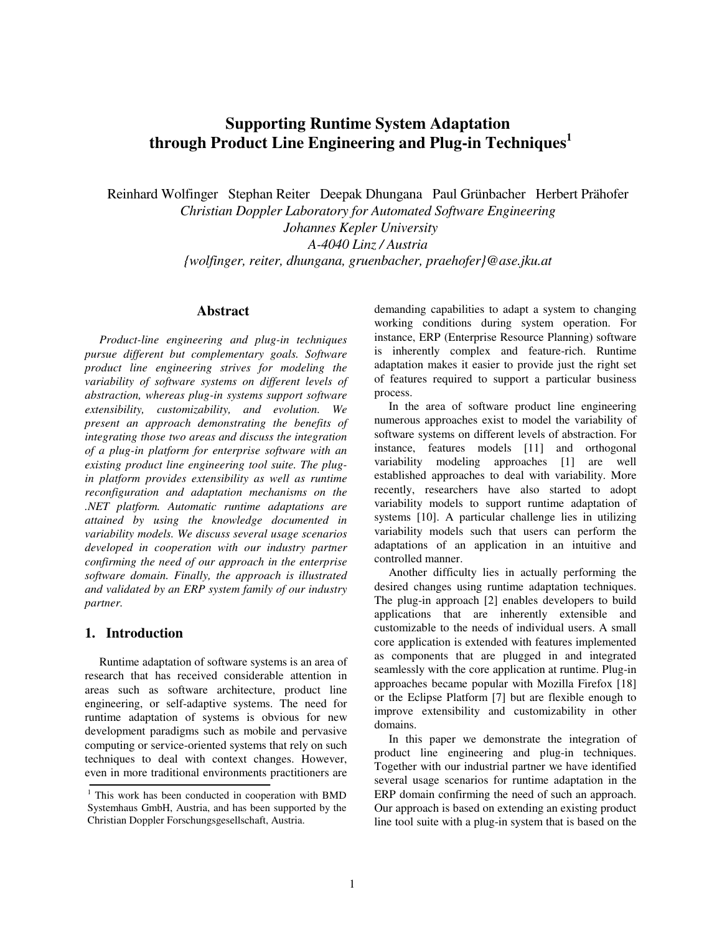# **Supporting Runtime System Adaptation through Product Line Engineering and Plug-in Techniques<sup>1</sup>**

Reinhard Wolfinger Stephan Reiter Deepak Dhungana Paul Grünbacher Herbert Prähofer *Christian Doppler Laboratory for Automated Software Engineering Johannes Kepler University A-4040 Linz / Austria {wolfinger, reiter, dhungana, gruenbacher, praehofer}@ase.jku.at* 

## **Abstract**

*Product-line engineering and plug-in techniques pursue different but complementary goals. Software product line engineering strives for modeling the variability of software systems on different levels of abstraction, whereas plug-in systems support software extensibility, customizability, and evolution. We present an approach demonstrating the benefits of integrating those two areas and discuss the integration of a plug-in platform for enterprise software with an existing product line engineering tool suite. The plugin platform provides extensibility as well as runtime reconfiguration and adaptation mechanisms on the .NET platform. Automatic runtime adaptations are attained by using the knowledge documented in variability models. We discuss several usage scenarios developed in cooperation with our industry partner confirming the need of our approach in the enterprise software domain. Finally, the approach is illustrated and validated by an ERP system family of our industry partner.* 

#### **1. Introduction**

Runtime adaptation of software systems is an area of research that has received considerable attention in areas such as software architecture, product line engineering, or self-adaptive systems. The need for runtime adaptation of systems is obvious for new development paradigms such as mobile and pervasive computing or service-oriented systems that rely on such techniques to deal with context changes. However, even in more traditional environments practitioners are demanding capabilities to adapt a system to changing working conditions during system operation. For instance, ERP (Enterprise Resource Planning) software is inherently complex and feature-rich. Runtime adaptation makes it easier to provide just the right set of features required to support a particular business process.

In the area of software product line engineering numerous approaches exist to model the variability of software systems on different levels of abstraction. For instance, features models [11] and orthogonal variability modeling approaches [1] are well established approaches to deal with variability. More recently, researchers have also started to adopt variability models to support runtime adaptation of systems [10]. A particular challenge lies in utilizing variability models such that users can perform the adaptations of an application in an intuitive and controlled manner.

Another difficulty lies in actually performing the desired changes using runtime adaptation techniques. The plug-in approach [2] enables developers to build applications that are inherently extensible and customizable to the needs of individual users. A small core application is extended with features implemented as components that are plugged in and integrated seamlessly with the core application at runtime. Plug-in approaches became popular with Mozilla Firefox [18] or the Eclipse Platform [7] but are flexible enough to improve extensibility and customizability in other domains.

In this paper we demonstrate the integration of product line engineering and plug-in techniques. Together with our industrial partner we have identified several usage scenarios for runtime adaptation in the ERP domain confirming the need of such an approach. Our approach is based on extending an existing product line tool suite with a plug-in system that is based on the

<sup>&</sup>lt;sup>1</sup> This work has been conducted in cooperation with BMD Systemhaus GmbH, Austria, and has been supported by the Christian Doppler Forschungsgesellschaft, Austria.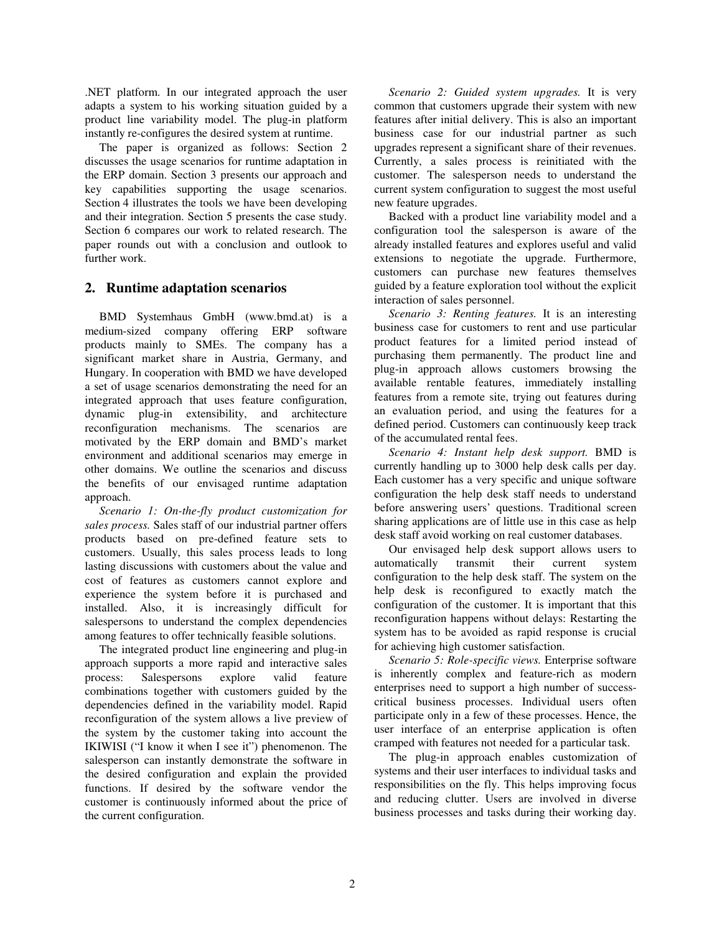.NET platform. In our integrated approach the user adapts a system to his working situation guided by a product line variability model. The plug-in platform instantly re-configures the desired system at runtime.

The paper is organized as follows: Section 2 discusses the usage scenarios for runtime adaptation in the ERP domain. Section 3 presents our approach and key capabilities supporting the usage scenarios. Section 4 illustrates the tools we have been developing and their integration. Section 5 presents the case study. Section 6 compares our work to related research. The paper rounds out with a conclusion and outlook to further work.

# **2. Runtime adaptation scenarios**

BMD Systemhaus GmbH (www.bmd.at) is a medium-sized company offering ERP software products mainly to SMEs. The company has a significant market share in Austria, Germany, and Hungary. In cooperation with BMD we have developed a set of usage scenarios demonstrating the need for an integrated approach that uses feature configuration, dynamic plug-in extensibility, and architecture reconfiguration mechanisms. The scenarios are motivated by the ERP domain and BMD's market environment and additional scenarios may emerge in other domains. We outline the scenarios and discuss the benefits of our envisaged runtime adaptation approach.

*Scenario 1: On-the-fly product customization for sales process.* Sales staff of our industrial partner offers products based on pre-defined feature sets to customers. Usually, this sales process leads to long lasting discussions with customers about the value and cost of features as customers cannot explore and experience the system before it is purchased and installed. Also, it is increasingly difficult for salespersons to understand the complex dependencies among features to offer technically feasible solutions.

The integrated product line engineering and plug-in approach supports a more rapid and interactive sales process: Salespersons explore valid feature combinations together with customers guided by the dependencies defined in the variability model. Rapid reconfiguration of the system allows a live preview of the system by the customer taking into account the IKIWISI ("I know it when I see it") phenomenon. The salesperson can instantly demonstrate the software in the desired configuration and explain the provided functions. If desired by the software vendor the customer is continuously informed about the price of the current configuration.

*Scenario 2: Guided system upgrades.* It is very common that customers upgrade their system with new features after initial delivery. This is also an important business case for our industrial partner as such upgrades represent a significant share of their revenues. Currently, a sales process is reinitiated with the customer. The salesperson needs to understand the current system configuration to suggest the most useful new feature upgrades.

Backed with a product line variability model and a configuration tool the salesperson is aware of the already installed features and explores useful and valid extensions to negotiate the upgrade. Furthermore, customers can purchase new features themselves guided by a feature exploration tool without the explicit interaction of sales personnel.

*Scenario 3: Renting features.* It is an interesting business case for customers to rent and use particular product features for a limited period instead of purchasing them permanently. The product line and plug-in approach allows customers browsing the available rentable features, immediately installing features from a remote site, trying out features during an evaluation period, and using the features for a defined period. Customers can continuously keep track of the accumulated rental fees.

*Scenario 4: Instant help desk support.* BMD is currently handling up to 3000 help desk calls per day. Each customer has a very specific and unique software configuration the help desk staff needs to understand before answering users' questions. Traditional screen sharing applications are of little use in this case as help desk staff avoid working on real customer databases.

Our envisaged help desk support allows users to automatically transmit their current system configuration to the help desk staff. The system on the help desk is reconfigured to exactly match the configuration of the customer. It is important that this reconfiguration happens without delays: Restarting the system has to be avoided as rapid response is crucial for achieving high customer satisfaction.

*Scenario 5: Role-specific views.* Enterprise software is inherently complex and feature-rich as modern enterprises need to support a high number of successcritical business processes. Individual users often participate only in a few of these processes. Hence, the user interface of an enterprise application is often cramped with features not needed for a particular task.

The plug-in approach enables customization of systems and their user interfaces to individual tasks and responsibilities on the fly. This helps improving focus and reducing clutter. Users are involved in diverse business processes and tasks during their working day.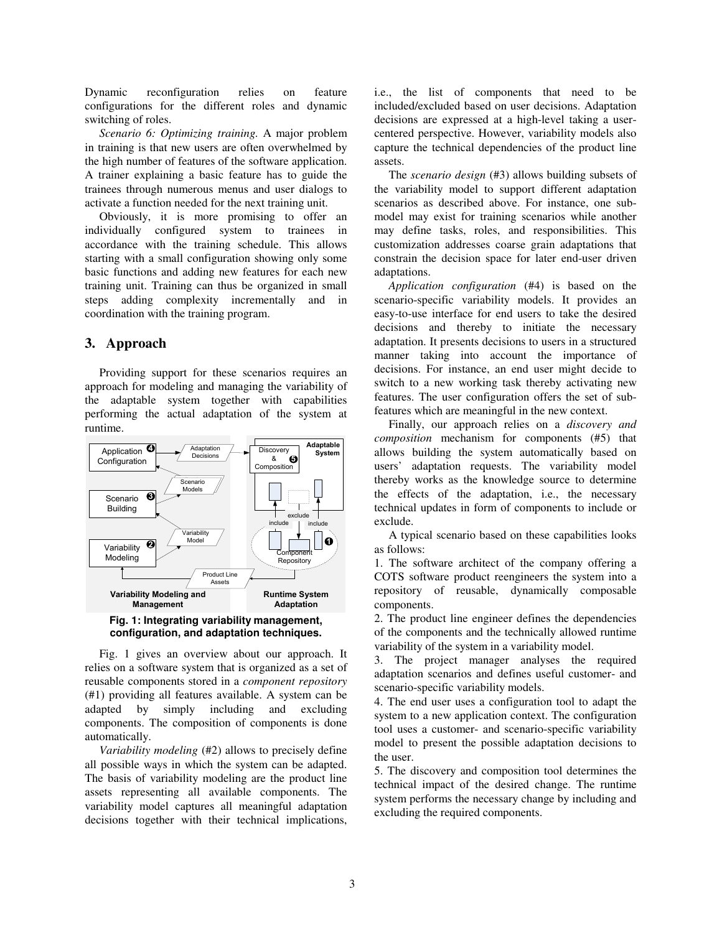Dynamic reconfiguration relies on feature configurations for the different roles and dynamic switching of roles.

*Scenario 6: Optimizing training.* A major problem in training is that new users are often overwhelmed by the high number of features of the software application. A trainer explaining a basic feature has to guide the trainees through numerous menus and user dialogs to activate a function needed for the next training unit.

Obviously, it is more promising to offer an individually configured system to trainees in accordance with the training schedule. This allows starting with a small configuration showing only some basic functions and adding new features for each new training unit. Training can thus be organized in small steps adding complexity incrementally and in coordination with the training program.

# **3. Approach**

Providing support for these scenarios requires an approach for modeling and managing the variability of the adaptable system together with capabilities performing the actual adaptation of the system at runtime.



**configuration, and adaptation techniques.** 

Fig. 1 gives an overview about our approach. It relies on a software system that is organized as a set of reusable components stored in a *component repository* (#1) providing all features available. A system can be adapted by simply including and excluding components. The composition of components is done automatically.

*Variability modeling* (#2) allows to precisely define all possible ways in which the system can be adapted. The basis of variability modeling are the product line assets representing all available components. The variability model captures all meaningful adaptation decisions together with their technical implications, i.e., the list of components that need to be included/excluded based on user decisions. Adaptation decisions are expressed at a high-level taking a usercentered perspective. However, variability models also capture the technical dependencies of the product line assets.

The *scenario design* (#3) allows building subsets of the variability model to support different adaptation scenarios as described above. For instance, one submodel may exist for training scenarios while another may define tasks, roles, and responsibilities. This customization addresses coarse grain adaptations that constrain the decision space for later end-user driven adaptations.

*Application configuration* (#4) is based on the scenario-specific variability models. It provides an easy-to-use interface for end users to take the desired decisions and thereby to initiate the necessary adaptation. It presents decisions to users in a structured manner taking into account the importance of decisions. For instance, an end user might decide to switch to a new working task thereby activating new features. The user configuration offers the set of subfeatures which are meaningful in the new context.

Finally, our approach relies on a *discovery and composition* mechanism for components (#5) that allows building the system automatically based on users' adaptation requests. The variability model thereby works as the knowledge source to determine the effects of the adaptation, i.e., the necessary technical updates in form of components to include or exclude.

A typical scenario based on these capabilities looks as follows:

1. The software architect of the company offering a COTS software product reengineers the system into a repository of reusable, dynamically composable components.

2. The product line engineer defines the dependencies of the components and the technically allowed runtime variability of the system in a variability model.

3. The project manager analyses the required adaptation scenarios and defines useful customer- and scenario-specific variability models.

4. The end user uses a configuration tool to adapt the system to a new application context. The configuration tool uses a customer- and scenario-specific variability model to present the possible adaptation decisions to the user.

5. The discovery and composition tool determines the technical impact of the desired change. The runtime system performs the necessary change by including and excluding the required components.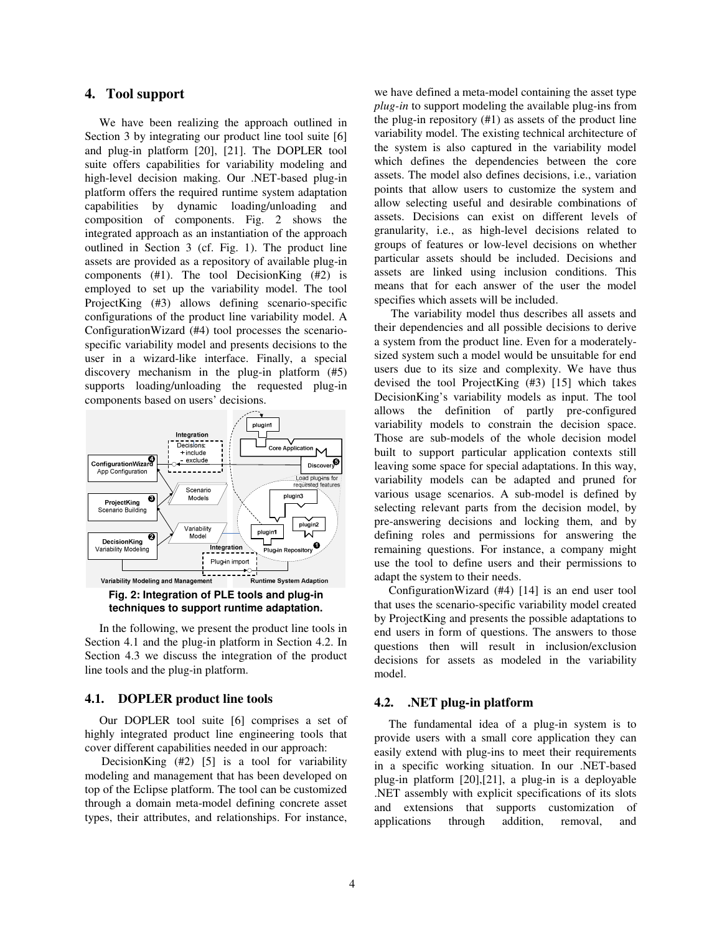## **4. Tool support**

We have been realizing the approach outlined in Section 3 by integrating our product line tool suite [6] and plug-in platform [20], [21]. The DOPLER tool suite offers capabilities for variability modeling and high-level decision making. Our .NET-based plug-in platform offers the required runtime system adaptation capabilities by dynamic loading/unloading and composition of components. Fig. 2 shows the integrated approach as an instantiation of the approach outlined in Section 3 (cf. Fig. 1). The product line assets are provided as a repository of available plug-in components (#1). The tool DecisionKing (#2) is employed to set up the variability model. The tool ProjectKing (#3) allows defining scenario-specific configurations of the product line variability model. A ConfigurationWizard (#4) tool processes the scenariospecific variability model and presents decisions to the user in a wizard-like interface. Finally, a special discovery mechanism in the plug-in platform (#5) supports loading/unloading the requested plug-in components based on users' decisions.



**Fig. 2: Integration of PLE tools and plug-in techniques to support runtime adaptation.** 

In the following, we present the product line tools in Section 4.1 and the plug-in platform in Section 4.2. In Section 4.3 we discuss the integration of the product line tools and the plug-in platform.

#### **4.1. DOPLER product line tools**

Our DOPLER tool suite [6] comprises a set of highly integrated product line engineering tools that cover different capabilities needed in our approach:

DecisionKing (#2) [5] is a tool for variability modeling and management that has been developed on top of the Eclipse platform. The tool can be customized through a domain meta-model defining concrete asset types, their attributes, and relationships. For instance,

we have defined a meta-model containing the asset type *plug-in* to support modeling the available plug-ins from the plug-in repository  $(41)$  as assets of the product line variability model. The existing technical architecture of the system is also captured in the variability model which defines the dependencies between the core assets. The model also defines decisions, i.e., variation points that allow users to customize the system and allow selecting useful and desirable combinations of assets. Decisions can exist on different levels of granularity, i.e., as high-level decisions related to groups of features or low-level decisions on whether particular assets should be included. Decisions and assets are linked using inclusion conditions. This means that for each answer of the user the model specifies which assets will be included.

The variability model thus describes all assets and their dependencies and all possible decisions to derive a system from the product line. Even for a moderatelysized system such a model would be unsuitable for end users due to its size and complexity. We have thus devised the tool ProjectKing (#3) [15] which takes DecisionKing's variability models as input. The tool allows the definition of partly pre-configured variability models to constrain the decision space. Those are sub-models of the whole decision model built to support particular application contexts still leaving some space for special adaptations. In this way, variability models can be adapted and pruned for various usage scenarios. A sub-model is defined by selecting relevant parts from the decision model, by pre-answering decisions and locking them, and by defining roles and permissions for answering the remaining questions. For instance, a company might use the tool to define users and their permissions to adapt the system to their needs.

ConfigurationWizard (#4) [14] is an end user tool that uses the scenario-specific variability model created by ProjectKing and presents the possible adaptations to end users in form of questions. The answers to those questions then will result in inclusion/exclusion decisions for assets as modeled in the variability model.

# **4.2. .NET plug-in platform**

The fundamental idea of a plug-in system is to provide users with a small core application they can easily extend with plug-ins to meet their requirements in a specific working situation. In our .NET-based plug-in platform [20],[21], a plug-in is a deployable .NET assembly with explicit specifications of its slots and extensions that supports customization of applications through addition, removal, and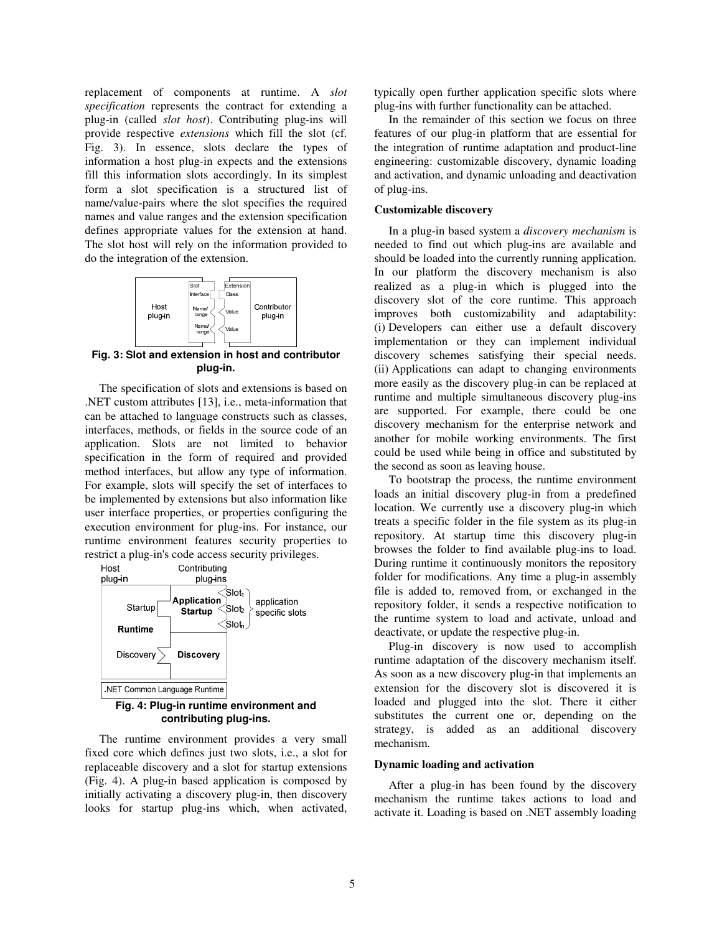replacement of components at runtime. A *slot specification* represents the contract for extending a plug-in (called *slot host*). Contributing plug-ins will provide respective *extensions* which fill the slot (cf. Fig. 3). In essence, slots declare the types of information a host plug-in expects and the extensions fill this information slots accordingly. In its simplest form a slot specification is a structured list of name/value-pairs where the slot specifies the required names and value ranges and the extension specification defines appropriate values for the extension at hand. The slot host will rely on the information provided to do the integration of the extension.



**Fig. 3: Slot and extension in host and contributor plug-in.** 

The specification of slots and extensions is based on .NET custom attributes [13], i.e., meta-information that can be attached to language constructs such as classes, interfaces, methods, or fields in the source code of an application. Slots are not limited to behavior specification in the form of required and provided method interfaces, but allow any type of information. For example, slots will specify the set of interfaces to be implemented by extensions but also information like user interface properties, or properties configuring the execution environment for plug-ins. For instance, our runtime environment features security properties to restrict a plug-in's code access security privileges.



**Fig. 4: Plug-in runtime environment and contributing plug-ins.** 

The runtime environment provides a very small fixed core which defines just two slots, i.e., a slot for replaceable discovery and a slot for startup extensions (Fig. 4). A plug-in based application is composed by initially activating a discovery plug-in, then discovery looks for startup plug-ins which, when activated,

typically open further application specific slots where plug-ins with further functionality can be attached.

In the remainder of this section we focus on three features of our plug-in platform that are essential for the integration of runtime adaptation and product-line engineering: customizable discovery, dynamic loading and activation, and dynamic unloading and deactivation of plug-ins.

#### **Customizable discovery**

In a plug-in based system a *discovery mechanism* is needed to find out which plug-ins are available and should be loaded into the currently running application. In our platform the discovery mechanism is also realized as a plug-in which is plugged into the discovery slot of the core runtime. This approach improves both customizability and adaptability: (i) Developers can either use a default discovery implementation or they can implement individual discovery schemes satisfying their special needs. (ii) Applications can adapt to changing environments more easily as the discovery plug-in can be replaced at runtime and multiple simultaneous discovery plug-ins are supported. For example, there could be one discovery mechanism for the enterprise network and another for mobile working environments. The first could be used while being in office and substituted by the second as soon as leaving house.

To bootstrap the process, the runtime environment loads an initial discovery plug-in from a predefined location. We currently use a discovery plug-in which treats a specific folder in the file system as its plug-in repository. At startup time this discovery plug-in browses the folder to find available plug-ins to load. During runtime it continuously monitors the repository folder for modifications. Any time a plug-in assembly file is added to, removed from, or exchanged in the repository folder, it sends a respective notification to the runtime system to load and activate, unload and deactivate, or update the respective plug-in.

Plug-in discovery is now used to accomplish runtime adaptation of the discovery mechanism itself. As soon as a new discovery plug-in that implements an extension for the discovery slot is discovered it is loaded and plugged into the slot. There it either substitutes the current one or, depending on the strategy, is added as an additional discovery mechanism.

#### **Dynamic loading and activation**

After a plug-in has been found by the discovery mechanism the runtime takes actions to load and activate it. Loading is based on .NET assembly loading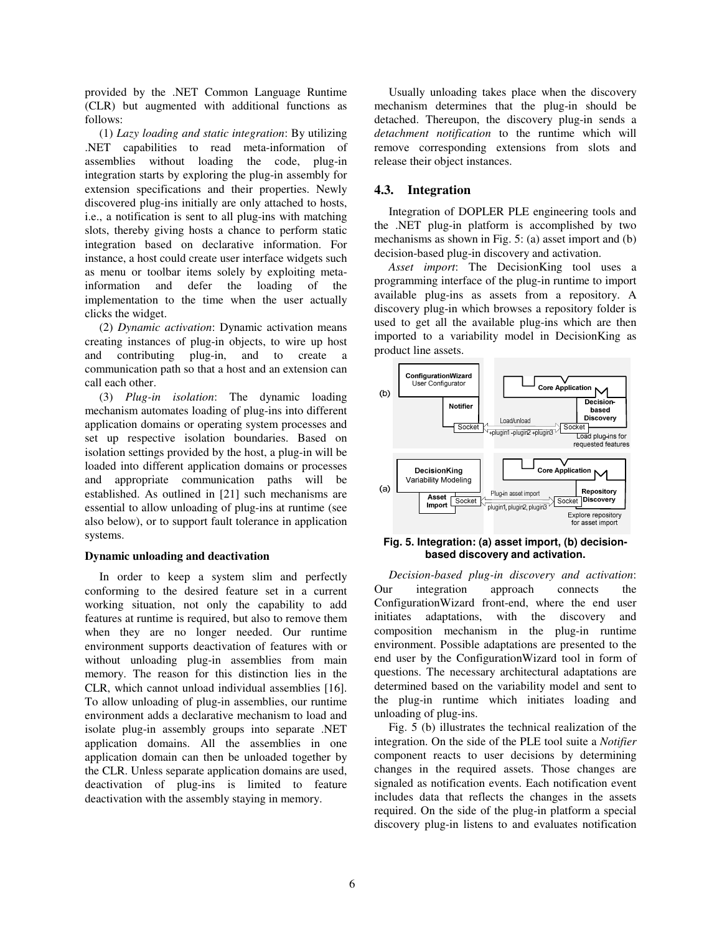provided by the .NET Common Language Runtime (CLR) but augmented with additional functions as follows:

(1) *Lazy loading and static integration*: By utilizing .NET capabilities to read meta-information of assemblies without loading the code, plug-in integration starts by exploring the plug-in assembly for extension specifications and their properties. Newly discovered plug-ins initially are only attached to hosts, i.e., a notification is sent to all plug-ins with matching slots, thereby giving hosts a chance to perform static integration based on declarative information. For instance, a host could create user interface widgets such as menu or toolbar items solely by exploiting metainformation and defer the loading of the implementation to the time when the user actually clicks the widget.

(2) *Dynamic activation*: Dynamic activation means creating instances of plug-in objects, to wire up host and contributing plug-in, and to create a communication path so that a host and an extension can call each other.

(3) *Plug-in isolation*: The dynamic loading mechanism automates loading of plug-ins into different application domains or operating system processes and set up respective isolation boundaries. Based on isolation settings provided by the host, a plug-in will be loaded into different application domains or processes and appropriate communication paths will be established. As outlined in [21] such mechanisms are essential to allow unloading of plug-ins at runtime (see also below), or to support fault tolerance in application systems.

#### **Dynamic unloading and deactivation**

In order to keep a system slim and perfectly conforming to the desired feature set in a current working situation, not only the capability to add features at runtime is required, but also to remove them when they are no longer needed. Our runtime environment supports deactivation of features with or without unloading plug-in assemblies from main memory. The reason for this distinction lies in the CLR, which cannot unload individual assemblies [16]. To allow unloading of plug-in assemblies, our runtime environment adds a declarative mechanism to load and isolate plug-in assembly groups into separate .NET application domains. All the assemblies in one application domain can then be unloaded together by the CLR. Unless separate application domains are used, deactivation of plug-ins is limited to feature deactivation with the assembly staying in memory.

Usually unloading takes place when the discovery mechanism determines that the plug-in should be detached. Thereupon, the discovery plug-in sends a *detachment notification* to the runtime which will remove corresponding extensions from slots and release their object instances.

#### **4.3. Integration**

Integration of DOPLER PLE engineering tools and the .NET plug-in platform is accomplished by two mechanisms as shown in Fig. 5: (a) asset import and (b) decision-based plug-in discovery and activation.

*Asset import*: The DecisionKing tool uses a programming interface of the plug-in runtime to import available plug-ins as assets from a repository. A discovery plug-in which browses a repository folder is used to get all the available plug-ins which are then imported to a variability model in DecisionKing as product line assets.



#### **Fig. 5. Integration: (a) asset import, (b) decisionbased discovery and activation.**

*Decision-based plug-in discovery and activation*: Our integration approach connects the ConfigurationWizard front-end, where the end user initiates adaptations, with the discovery and composition mechanism in the plug-in runtime environment. Possible adaptations are presented to the end user by the ConfigurationWizard tool in form of questions. The necessary architectural adaptations are determined based on the variability model and sent to the plug-in runtime which initiates loading and unloading of plug-ins.

Fig. 5 (b) illustrates the technical realization of the integration. On the side of the PLE tool suite a *Notifier* component reacts to user decisions by determining changes in the required assets. Those changes are signaled as notification events. Each notification event includes data that reflects the changes in the assets required. On the side of the plug-in platform a special discovery plug-in listens to and evaluates notification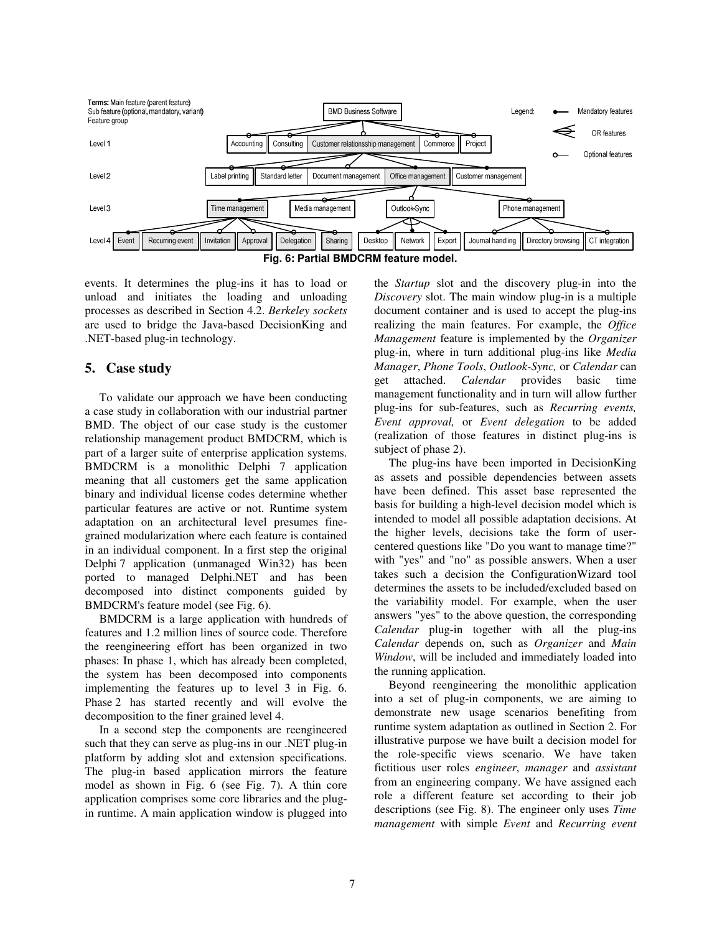

events. It determines the plug-ins it has to load or unload and initiates the loading and unloading processes as described in Section 4.2. *Berkeley sockets* are used to bridge the Java-based DecisionKing and .NET-based plug-in technology.

# **5. Case study**

To validate our approach we have been conducting a case study in collaboration with our industrial partner BMD. The object of our case study is the customer relationship management product BMDCRM, which is part of a larger suite of enterprise application systems. BMDCRM is a monolithic Delphi 7 application meaning that all customers get the same application binary and individual license codes determine whether particular features are active or not. Runtime system adaptation on an architectural level presumes finegrained modularization where each feature is contained in an individual component. In a first step the original Delphi 7 application (unmanaged Win32) has been ported to managed Delphi.NET and has been decomposed into distinct components guided by BMDCRM's feature model (see Fig. 6).

BMDCRM is a large application with hundreds of features and 1.2 million lines of source code. Therefore the reengineering effort has been organized in two phases: In phase 1, which has already been completed, the system has been decomposed into components implementing the features up to level 3 in Fig. 6. Phase 2 has started recently and will evolve the decomposition to the finer grained level 4.

In a second step the components are reengineered such that they can serve as plug-ins in our .NET plug-in platform by adding slot and extension specifications. The plug-in based application mirrors the feature model as shown in Fig. 6 (see Fig. 7). A thin core application comprises some core libraries and the plugin runtime. A main application window is plugged into

the *Startup* slot and the discovery plug-in into the *Discovery* slot. The main window plug-in is a multiple document container and is used to accept the plug-ins realizing the main features. For example, the *Office Management* feature is implemented by the *Organizer* plug-in, where in turn additional plug-ins like *Media Manager*, *Phone Tools*, *Outlook-Sync,* or *Calendar* can get attached. *Calendar* provides basic time management functionality and in turn will allow further plug-ins for sub-features, such as *Recurring events, Event approval,* or *Event delegation* to be added (realization of those features in distinct plug-ins is subject of phase 2).

The plug-ins have been imported in DecisionKing as assets and possible dependencies between assets have been defined. This asset base represented the basis for building a high-level decision model which is intended to model all possible adaptation decisions. At the higher levels, decisions take the form of usercentered questions like "Do you want to manage time?" with "yes" and "no" as possible answers. When a user takes such a decision the ConfigurationWizard tool determines the assets to be included/excluded based on the variability model. For example, when the user answers "yes" to the above question, the corresponding *Calendar* plug-in together with all the plug-ins *Calendar* depends on, such as *Organizer* and *Main Window*, will be included and immediately loaded into the running application.

Beyond reengineering the monolithic application into a set of plug-in components, we are aiming to demonstrate new usage scenarios benefiting from runtime system adaptation as outlined in Section 2. For illustrative purpose we have built a decision model for the role-specific views scenario. We have taken fictitious user roles *engineer*, *manager* and *assistant* from an engineering company. We have assigned each role a different feature set according to their job descriptions (see Fig. 8). The engineer only uses *Time management* with simple *Event* and *Recurring event*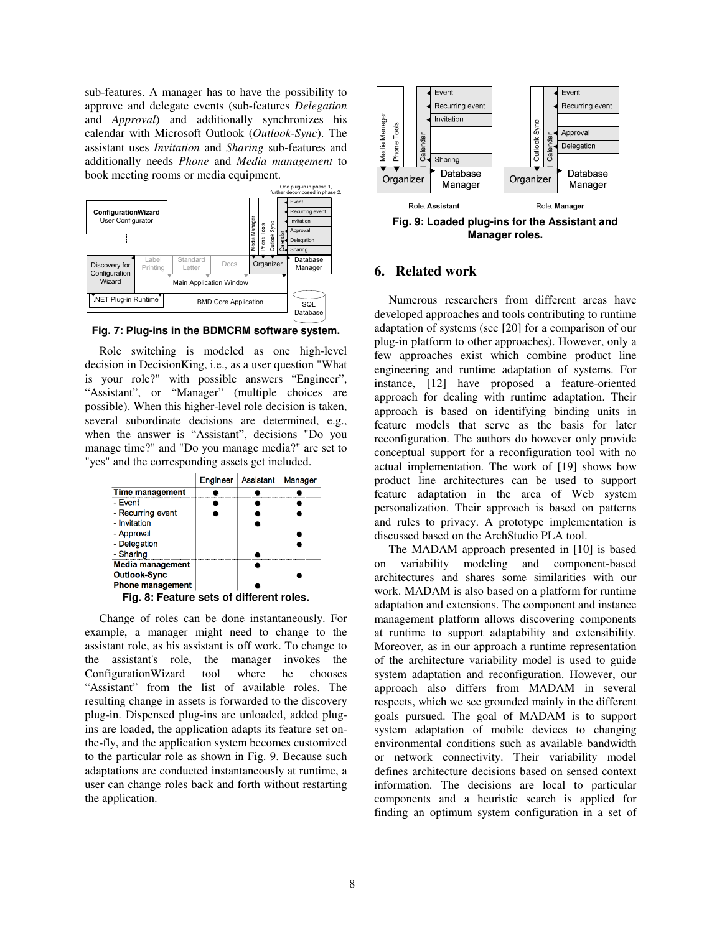sub-features. A manager has to have the possibility to approve and delegate events (sub-features *Delegation* and *Approval*) and additionally synchronizes his calendar with Microsoft Outlook (*Outlook-Sync*). The assistant uses *Invitation* and *Sharing* sub-features and additionally needs *Phone* and *Media management* to book meeting rooms or media equipment.



**Fig. 7: Plug-ins in the BDMCRM software system.** 

Role switching is modeled as one high-level decision in DecisionKing, i.e., as a user question "What is your role?" with possible answers "Engineer", "Assistant", or "Manager" (multiple choices are possible). When this higher-level role decision is taken, several subordinate decisions are determined, e.g., when the answer is "Assistant", decisions "Do you manage time?" and "Do you manage media?" are set to "yes" and the corresponding assets get included.



Change of roles can be done instantaneously. For example, a manager might need to change to the assistant role, as his assistant is off work. To change to the assistant's role, the manager invokes the ConfigurationWizard tool where he chooses "Assistant" from the list of available roles. The resulting change in assets is forwarded to the discovery plug-in. Dispensed plug-ins are unloaded, added plugins are loaded, the application adapts its feature set onthe-fly, and the application system becomes customized to the particular role as shown in Fig. 9. Because such adaptations are conducted instantaneously at runtime, a user can change roles back and forth without restarting the application.



**Manager roles.** 

# **6. Related work**

Numerous researchers from different areas have developed approaches and tools contributing to runtime adaptation of systems (see [20] for a comparison of our plug-in platform to other approaches). However, only a few approaches exist which combine product line engineering and runtime adaptation of systems. For instance, [12] have proposed a feature-oriented approach for dealing with runtime adaptation. Their approach is based on identifying binding units in feature models that serve as the basis for later reconfiguration. The authors do however only provide conceptual support for a reconfiguration tool with no actual implementation. The work of [19] shows how product line architectures can be used to support feature adaptation in the area of Web system personalization. Their approach is based on patterns and rules to privacy. A prototype implementation is discussed based on the ArchStudio PLA tool.

The MADAM approach presented in [10] is based on variability modeling and component-based architectures and shares some similarities with our work. MADAM is also based on a platform for runtime adaptation and extensions. The component and instance management platform allows discovering components at runtime to support adaptability and extensibility. Moreover, as in our approach a runtime representation of the architecture variability model is used to guide system adaptation and reconfiguration. However, our approach also differs from MADAM in several respects, which we see grounded mainly in the different goals pursued. The goal of MADAM is to support system adaptation of mobile devices to changing environmental conditions such as available bandwidth or network connectivity. Their variability model defines architecture decisions based on sensed context information. The decisions are local to particular components and a heuristic search is applied for finding an optimum system configuration in a set of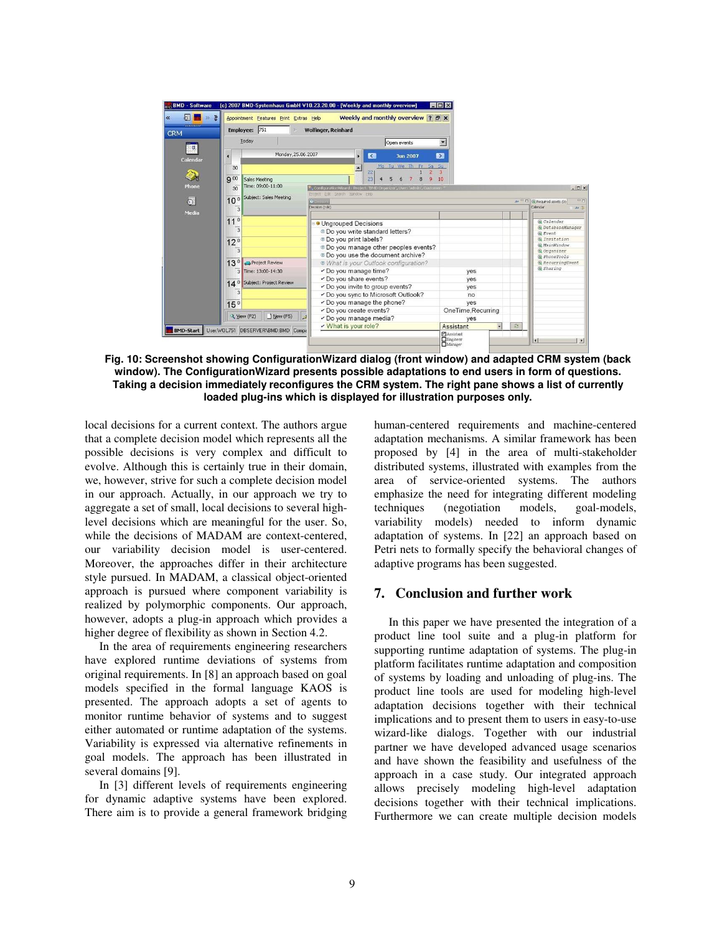

**Fig. 10: Screenshot showing ConfigurationWizard dialog (front window) and adapted CRM system (back window). The ConfigurationWizard presents possible adaptations to end users in form of questions. Taking a decision immediately reconfigures the CRM system. The right pane shows a list of currently loaded plug-ins which is displayed for illustration purposes only.** 

local decisions for a current context. The authors argue that a complete decision model which represents all the possible decisions is very complex and difficult to evolve. Although this is certainly true in their domain, we, however, strive for such a complete decision model in our approach. Actually, in our approach we try to aggregate a set of small, local decisions to several highlevel decisions which are meaningful for the user. So, while the decisions of MADAM are context-centered, our variability decision model is user-centered. Moreover, the approaches differ in their architecture style pursued. In MADAM, a classical object-oriented approach is pursued where component variability is realized by polymorphic components. Our approach, however, adopts a plug-in approach which provides a higher degree of flexibility as shown in Section 4.2.

In the area of requirements engineering researchers have explored runtime deviations of systems from original requirements. In [8] an approach based on goal models specified in the formal language KAOS is presented. The approach adopts a set of agents to monitor runtime behavior of systems and to suggest either automated or runtime adaptation of the systems. Variability is expressed via alternative refinements in goal models. The approach has been illustrated in several domains [9].

In [3] different levels of requirements engineering for dynamic adaptive systems have been explored. There aim is to provide a general framework bridging human-centered requirements and machine-centered adaptation mechanisms. A similar framework has been proposed by [4] in the area of multi-stakeholder distributed systems, illustrated with examples from the area of service-oriented systems. The authors emphasize the need for integrating different modeling techniques (negotiation models, goal-models, variability models) needed to inform dynamic adaptation of systems. In [22] an approach based on Petri nets to formally specify the behavioral changes of adaptive programs has been suggested.

# **7. Conclusion and further work**

In this paper we have presented the integration of a product line tool suite and a plug-in platform for supporting runtime adaptation of systems. The plug-in platform facilitates runtime adaptation and composition of systems by loading and unloading of plug-ins. The product line tools are used for modeling high-level adaptation decisions together with their technical implications and to present them to users in easy-to-use wizard-like dialogs. Together with our industrial partner we have developed advanced usage scenarios and have shown the feasibility and usefulness of the approach in a case study. Our integrated approach allows precisely modeling high-level adaptation decisions together with their technical implications. Furthermore we can create multiple decision models